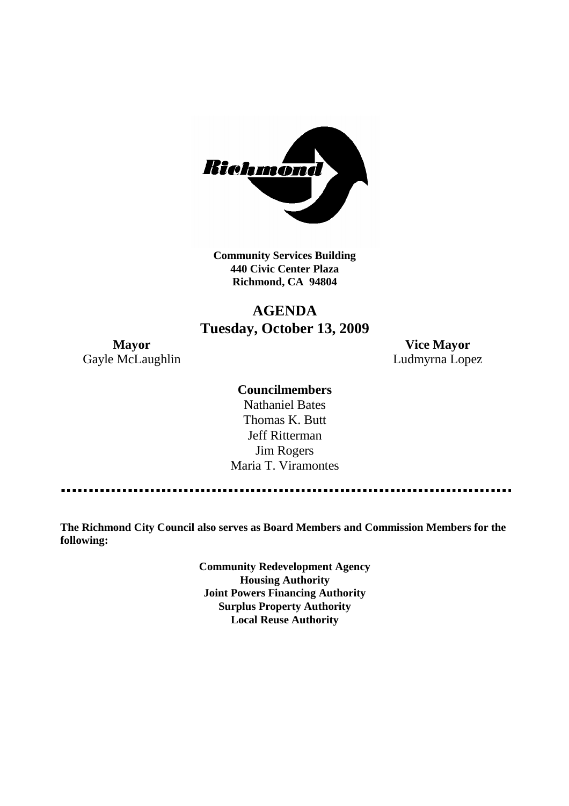

**Community Services Building 440 Civic Center Plaza Richmond, CA 94804**

# **AGENDA Tuesday, October 13, 2009**

**Mayor Vice Mayor** Gayle McLaughlin **Ludmyrna Lopez** 

## **Councilmembers**

Nathaniel Bates Thomas K. Butt Jeff Ritterman Jim Rogers Maria T. Viramontes

**The Richmond City Council also serves as Board Members and Commission Members for the following:**

> **Community Redevelopment Agency Housing Authority Joint Powers Financing Authority Surplus Property Authority Local Reuse Authority**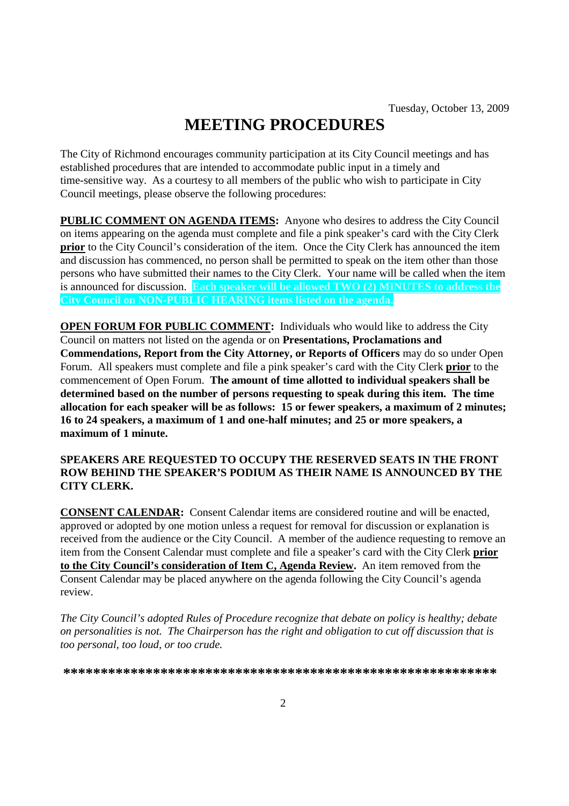# **MEETING PROCEDURES**

The City of Richmond encourages community participation at its City Council meetings and has established procedures that are intended to accommodate public input in a timely and time-sensitive way. As a courtesy to all members of the public who wish to participate in City Council meetings, please observe the following procedures:

**PUBLIC COMMENT ON AGENDA ITEMS:** Anyone who desires to address the City Council on items appearing on the agenda must complete and file a pink speaker's card with the City Clerk **prior** to the City Council's consideration of the item. Once the City Clerk has announced the item and discussion has commenced, no person shall be permitted to speak on the item other than those persons who have submitted their names to the City Clerk. Your name will be called when the item is announced for discussion. **Each speaker will be allowed TWO (2) MINUTES to address the City Council on NON-PUBLIC HEARING items listed on the agenda.**

**OPEN FORUM FOR PUBLIC COMMENT:** Individuals who would like to address the City Council on matters not listed on the agenda or on **Presentations, Proclamations and Commendations, Report from the City Attorney, or Reports of Officers** may do so under Open Forum. All speakers must complete and file a pink speaker's card with the City Clerk **prior** to the commencement of Open Forum. **The amount of time allotted to individual speakers shall be determined based on the number of persons requesting to speak during this item. The time allocation for each speaker will be as follows: 15 or fewer speakers, a maximum of 2 minutes; 16 to 24 speakers, a maximum of 1 and one-half minutes; and 25 or more speakers, a maximum of 1 minute.**

#### **SPEAKERS ARE REQUESTED TO OCCUPY THE RESERVED SEATS IN THE FRONT ROW BEHIND THE SPEAKER'S PODIUM AS THEIR NAME IS ANNOUNCED BY THE CITY CLERK.**

**CONSENT CALENDAR:** Consent Calendar items are considered routine and will be enacted, approved or adopted by one motion unless a request for removal for discussion or explanation is received from the audience or the City Council. A member of the audience requesting to remove an item from the Consent Calendar must complete and file a speaker's card with the City Clerk **prior to the City Council's consideration of Item C, Agenda Review.** An item removed from the Consent Calendar may be placed anywhere on the agenda following the City Council's agenda review.

*The City Council's adopted Rules of Procedure recognize that debate on policy is healthy; debate on personalities is not. The Chairperson has the right and obligation to cut off discussion that is too personal, too loud, or too crude.*

**\*\*\*\*\*\*\*\*\*\*\*\*\*\*\*\*\*\*\*\*\*\*\*\*\*\*\*\*\*\*\*\*\*\*\*\*\*\*\*\*\*\*\*\*\*\*\*\*\*\*\*\*\*\*\*\*\*\***